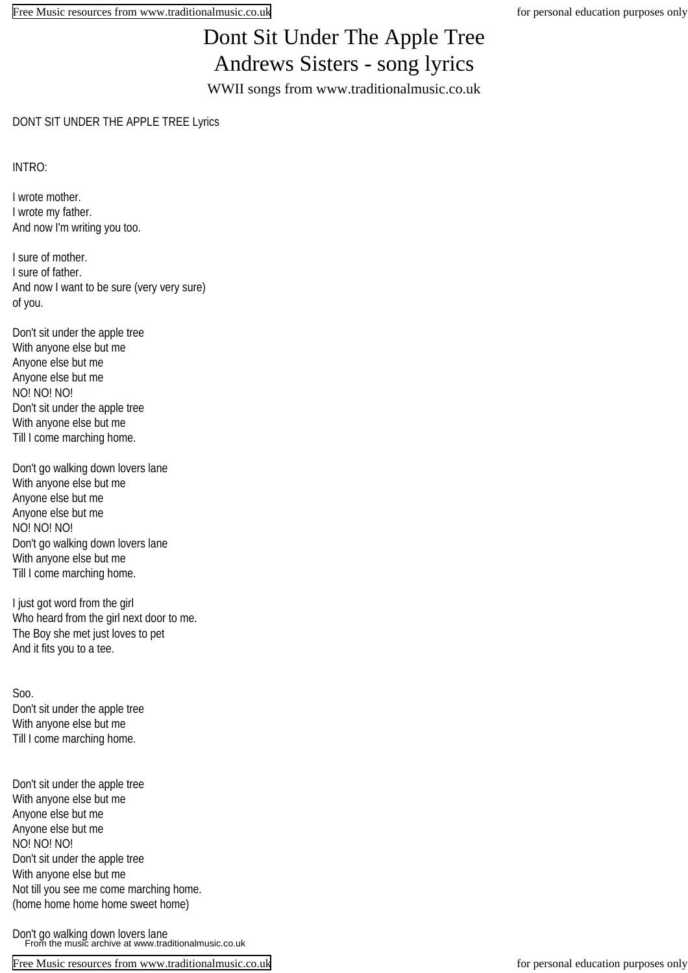## Dont Sit Under The Apple Tree Andrews Sisters - song lyrics

WWII songs from www.traditionalmusic.co.uk

## DONT SIT UNDER THE APPLE TREE Lyrics

INTRO:

I wrote mother. I wrote my father. And now I'm writing you too.

I sure of mother. I sure of father. And now I want to be sure (very very sure) of you.

Don't sit under the apple tree With anyone else but me Anyone else but me Anyone else but me NO! NO! NO! Don't sit under the apple tree With anyone else but me Till I come marching home.

Don't go walking down lovers lane With anyone else but me Anyone else but me Anyone else but me NO! NO! NO! Don't go walking down lovers lane With anyone else but me Till I come marching home.

I just got word from the girl Who heard from the girl next door to me. The Boy she met just loves to pet And it fits you to a tee.

Soo. Don't sit under the apple tree With anyone else but me Till I come marching home.

Don't sit under the apple tree With anyone else but me Anyone else but me Anyone else but me NO! NO! NO! Don't sit under the apple tree With anyone else but me Not till you see me come marching home. (home home home home sweet home)

Don't go walking down lovers lane From the music archive at www.traditionalmusic.co.uk